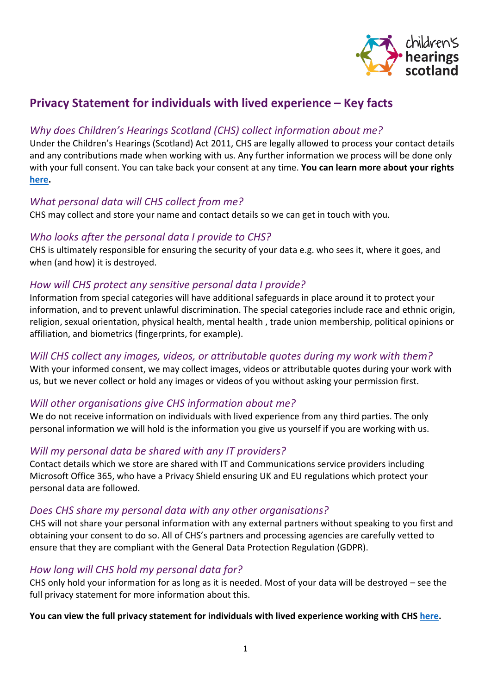

# **Privacy Statement for individuals with lived experience – Key facts**

### *Why does Children's Hearings Scotland (CHS) collect information about me?*

Under the Children's Hearings (Scotland) Act 2011, CHS are legally allowed to process your contact details and any contributions made when working with us. Any further information we process will be done only with your full consent. You can take back your consent at any time. **You can learn more about your rights [here.](https://www.chscotland.gov.uk/media/4mnpgfyg/your-rights-v1-0.pdf)**

#### *What personal data will CHS collect from me?*

CHS may collect and store your name and contact details so we can get in touch with you.

#### *Who looks after the personal data I provide to CHS?*

CHS is ultimately responsible for ensuring the security of your data e.g. who sees it, where it goes, and when (and how) it is destroyed.

### *How will CHS protect any sensitive personal data I provide?*

Information from special categories will have additional safeguards in place around it to protect your information, and to prevent unlawful discrimination. The special categories include race and ethnic origin, religion, sexual orientation, physical health, mental health , trade union membership, political opinions or affiliation, and biometrics (fingerprints, for example).

# *Will CHS collect any images, videos, or attributable quotes during my work with them?*

With your informed consent, we may collect images, videos or attributable quotes during your work with us, but we never collect or hold any images or videos of you without asking your permission first.

# *Will other organisations give CHS information about me?*

We do not receive information on individuals with lived experience from any third parties. The only personal information we will hold is the information you give us yourself if you are working with us.

# *Will my personal data be shared with any IT providers?*

Contact details which we store are shared with IT and Communications service providers including Microsoft Office 365, who have a Privacy Shield ensuring UK and EU regulations which protect your personal data are followed.

#### *Does CHS share my personal data with any other organisations?*

CHS will not share your personal information with any external partners without speaking to you first and obtaining your consent to do so. All of CHS's partners and processing agencies are carefully vetted to ensure that they are compliant with the General Data Protection Regulation (GDPR).

# *How long will CHS hold my personal data for?*

CHS only hold your information for as long as it is needed. Most of your data will be destroyed – see the full privacy statement for more information about this.

#### **You can view the full privacy statement for individuals with lived experience working with CHS [here.](https://www.chscotland.gov.uk/media/itwhjlux/privacy-statement-for-individuals-with-lived-experience-v1-0.pdf)**